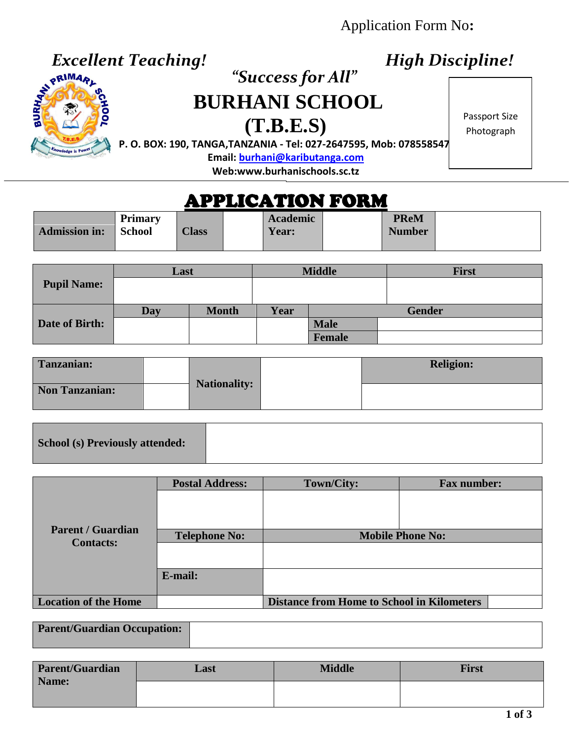Application Form No**:**

## *Excellent Teaching! High Discipline!*



# *<u><i>x*<sup>pRIMARL</sub><br> *BURHARTER BURHARTER*</u></sup> **BURHANI SCHOOL**

**(T.B.E.S)**

Passport Size Photograph

**P. O. BOX: 190, TANGA,TANZANIA - Tel: 027-2647595, Mob: 0785585473**

**Email[: burhani@kaributanga.com](mailto:burhani@kaributanga.com)**

**Web:www.burhanischools.sc.tz**

# APPLICATION FORM

|                      | <b>Primary</b> |              | <b>Academic</b> | <b>PReM</b>   |  |
|----------------------|----------------|--------------|-----------------|---------------|--|
| <b>Admission in:</b> | <b>School</b>  | <b>Class</b> | Year:           | <b>Number</b> |  |
|                      |                |              |                 |               |  |

|                    | Last |              |      | <b>Middle</b> | <b>First</b>  |
|--------------------|------|--------------|------|---------------|---------------|
| <b>Pupil Name:</b> |      |              |      |               |               |
|                    | Day  | <b>Month</b> | Year |               | <b>Gender</b> |
| Date of Birth:     |      |              |      | <b>Male</b>   |               |
|                    |      |              |      | Female        |               |

| Tanzanian:            |                     | <b>Religion:</b> |
|-----------------------|---------------------|------------------|
| <b>Non Tanzanian:</b> | <b>Nationality:</b> |                  |

**School (s) Previously attended:**

| <b>Parent / Guardian</b><br><b>Contacts:</b> | <b>Postal Address:</b> | Town/City:                                        | <b>Fax number:</b> |  |
|----------------------------------------------|------------------------|---------------------------------------------------|--------------------|--|
|                                              |                        |                                                   |                    |  |
|                                              | <b>Telephone No:</b>   | <b>Mobile Phone No:</b>                           |                    |  |
|                                              |                        |                                                   |                    |  |
|                                              | E-mail:                |                                                   |                    |  |
|                                              |                        |                                                   |                    |  |
| <b>Location of the Home</b>                  |                        | <b>Distance from Home to School in Kilometers</b> |                    |  |

| <b>Parent/Guardian Occupation:</b> |  |
|------------------------------------|--|
|                                    |  |

| <b>Parent/Guardian</b> | Last | <b>Middle</b> | First |
|------------------------|------|---------------|-------|
| Name:                  |      |               |       |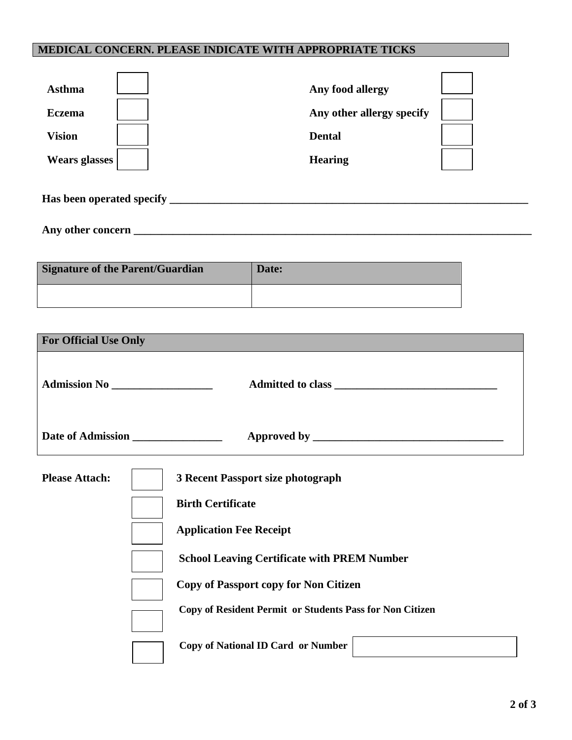#### **MEDICAL CONCERN. PLEASE INDICATE WITH APPROPRIATE TICKS**

| <b>Asthma</b>             | Any food allergy          |
|---------------------------|---------------------------|
| <b>Eczema</b>             | Any other allergy specify |
| <b>Vision</b>             | <b>Dental</b>             |
| <b>Wears glasses</b>      | <b>Hearing</b>            |
| Has been operated specify |                           |

**Any other concern \_\_\_\_\_\_\_\_\_\_\_\_\_\_\_\_\_\_\_\_\_\_\_\_\_\_\_\_\_\_\_\_\_\_\_\_\_\_\_\_\_\_\_\_\_\_\_\_\_\_\_\_\_\_\_\_\_\_\_\_\_\_\_\_\_\_\_\_\_\_\_**

| Signature of the Parent/Guardian | Date: |
|----------------------------------|-------|
|                                  |       |

| <b>For Official Use Only</b> |                                                                                                                                                                                                                                                                                                                       |
|------------------------------|-----------------------------------------------------------------------------------------------------------------------------------------------------------------------------------------------------------------------------------------------------------------------------------------------------------------------|
|                              |                                                                                                                                                                                                                                                                                                                       |
|                              |                                                                                                                                                                                                                                                                                                                       |
| <b>Please Attach:</b>        | 3 Recent Passport size photograph<br><b>Birth Certificate</b><br><b>Application Fee Receipt</b><br><b>School Leaving Certificate with PREM Number</b><br><b>Copy of Passport copy for Non Citizen</b><br><b>Copy of Resident Permit or Students Pass for Non Citizen</b><br><b>Copy of National ID Card or Number</b> |